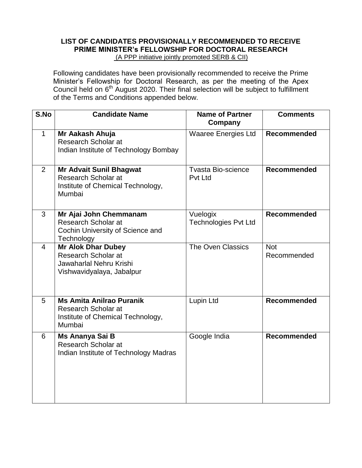### **LIST OF CANDIDATES PROVISIONALLY RECOMMENDED TO RECEIVE PRIME MINISTER's FELLOWSHIP FOR DOCTORAL RESEARCH**  (A PPP initiative jointly promoted SERB & CII)

Following candidates have been provisionally recommended to receive the Prime Minister's Fellowship for Doctoral Research, as per the meeting of the Apex Council held on  $6<sup>th</sup>$  August 2020. Their final selection will be subject to fulfillment of the Terms and Conditions appended below.

| S.No           | <b>Candidate Name</b>                                                                                    | <b>Name of Partner</b><br>Company       | <b>Comments</b>           |
|----------------|----------------------------------------------------------------------------------------------------------|-----------------------------------------|---------------------------|
| $\mathbf{1}$   | Mr Aakash Ahuja<br>Research Scholar at<br>Indian Institute of Technology Bombay                          | <b>Waaree Energies Ltd</b>              | <b>Recommended</b>        |
| 2              | <b>Mr Advait Sunil Bhagwat</b><br>Research Scholar at<br>Institute of Chemical Technology,<br>Mumbai     | <b>Tvasta Bio-science</b><br>Pvt Ltd    | <b>Recommended</b>        |
| 3              | Mr Ajai John Chemmanam<br>Research Scholar at<br>Cochin University of Science and<br>Technology          | Vuelogix<br><b>Technologies Pvt Ltd</b> | <b>Recommended</b>        |
| $\overline{4}$ | <b>Mr Alok Dhar Dubey</b><br>Research Scholar at<br>Jawaharlal Nehru Krishi<br>Vishwavidyalaya, Jabalpur | The Oven Classics                       | <b>Not</b><br>Recommended |
| 5              | <b>Ms Amita Anilrao Puranik</b><br>Research Scholar at<br>Institute of Chemical Technology,<br>Mumbai    | Lupin Ltd                               | <b>Recommended</b>        |
| 6              | Ms Ananya Sai B<br>Research Scholar at<br>Indian Institute of Technology Madras                          | Google India                            | <b>Recommended</b>        |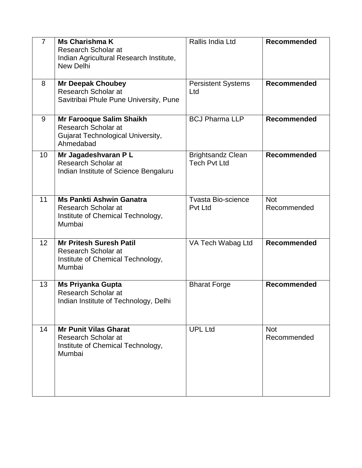| $\overline{7}$  | <b>Ms Charishma K</b><br><b>Research Scholar at</b><br>Indian Agricultural Research Institute,<br><b>New Delhi</b> | Rallis India Ltd                                | Recommended               |
|-----------------|--------------------------------------------------------------------------------------------------------------------|-------------------------------------------------|---------------------------|
| 8               | <b>Mr Deepak Choubey</b><br>Research Scholar at<br>Savitribai Phule Pune University, Pune                          | <b>Persistent Systems</b><br>Ltd                | Recommended               |
| 9               | Mr Farooque Salim Shaikh<br>Research Scholar at<br><b>Gujarat Technological University,</b><br>Ahmedabad           | <b>BCJ Pharma LLP</b>                           | Recommended               |
| 10              | Mr Jagadeshvaran P L<br>Research Scholar at<br>Indian Institute of Science Bengaluru                               | <b>Brightsandz Clean</b><br><b>Tech Pvt Ltd</b> | <b>Recommended</b>        |
| 11              | <b>Ms Pankti Ashwin Ganatra</b><br>Research Scholar at<br>Institute of Chemical Technology,<br>Mumbai              | <b>Tvasta Bio-science</b><br><b>Pvt Ltd</b>     | <b>Not</b><br>Recommended |
| 12 <sup>2</sup> | <b>Mr Pritesh Suresh Patil</b><br>Research Scholar at<br>Institute of Chemical Technology,<br>Mumbai               | VA Tech Wabag Ltd                               | <b>Recommended</b>        |
| 13              | <b>Ms Priyanka Gupta</b><br><b>Research Scholar at</b><br>Indian Institute of Technology, Delhi                    | <b>Bharat Forge</b>                             | Recommended               |
| 14              | <b>Mr Punit Vilas Gharat</b><br>Research Scholar at<br>Institute of Chemical Technology,<br>Mumbai                 | <b>UPL Ltd</b>                                  | <b>Not</b><br>Recommended |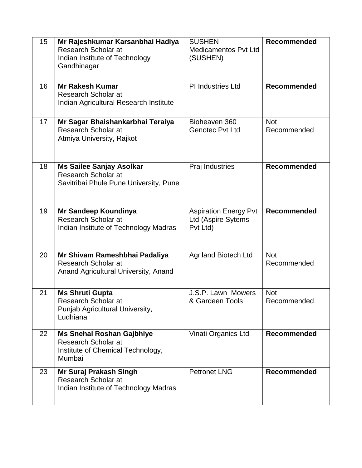| 15 | Mr Rajeshkumar Karsanbhai Hadiya<br>Research Scholar at<br>Indian Institute of Technology<br>Gandhinagar | <b>SUSHEN</b><br><b>Medicamentos Pvt Ltd</b><br>(SUSHEN)       | <b>Recommended</b>        |
|----|----------------------------------------------------------------------------------------------------------|----------------------------------------------------------------|---------------------------|
| 16 | <b>Mr Rakesh Kumar</b><br>Research Scholar at<br>Indian Agricultural Research Institute                  | PI Industries Ltd                                              | <b>Recommended</b>        |
| 17 | Mr Sagar Bhaishankarbhai Teraiya<br><b>Research Scholar at</b><br>Atmiya University, Rajkot              | Bioheaven 360<br><b>Genotec Pvt Ltd</b>                        | <b>Not</b><br>Recommended |
| 18 | <b>Ms Sailee Sanjay Asolkar</b><br>Research Scholar at<br>Savitribai Phule Pune University, Pune         | Praj Industries                                                | Recommended               |
| 19 | Mr Sandeep Koundinya<br>Research Scholar at<br>Indian Institute of Technology Madras                     | <b>Aspiration Energy Pvt</b><br>Ltd (Aspire Sytems<br>Pvt Ltd) | Recommended               |
| 20 | Mr Shivam Rameshbhai Padaliya<br>Research Scholar at<br>Anand Agricultural University, Anand             | <b>Agriland Biotech Ltd</b>                                    | <b>Not</b><br>Recommended |
| 21 | <b>Ms Shruti Gupta</b><br>Research Scholar at<br>Punjab Agricultural University,<br>Ludhiana             | J.S.P. Lawn Mowers<br>& Gardeen Tools                          | <b>Not</b><br>Recommended |
| 22 | <b>Ms Snehal Roshan Gajbhiye</b><br>Research Scholar at<br>Institute of Chemical Technology,<br>Mumbai   | Vinati Organics Ltd                                            | <b>Recommended</b>        |
| 23 | Mr Suraj Prakash Singh<br>Research Scholar at<br>Indian Institute of Technology Madras                   | <b>Petronet LNG</b>                                            | Recommended               |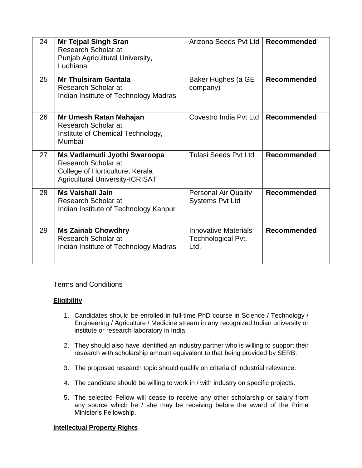| 24 | <b>Mr Tejpal Singh Sran</b><br>Research Scholar at<br>Punjab Agricultural University,<br>Ludhiana                                | Arizona Seeds Pvt Ltd                                     | <b>Recommended</b> |
|----|----------------------------------------------------------------------------------------------------------------------------------|-----------------------------------------------------------|--------------------|
| 25 | <b>Mr Thulsiram Gantala</b><br>Research Scholar at<br>Indian Institute of Technology Madras                                      | Baker Hughes (a GE<br>company)                            | <b>Recommended</b> |
| 26 | Mr Umesh Ratan Mahajan<br>Research Scholar at<br>Institute of Chemical Technology,<br>Mumbai                                     | Covestro India Pvt Ltd                                    | <b>Recommended</b> |
| 27 | Ms Vadlamudi Jyothi Swaroopa<br>Research Scholar at<br>College of Horticulture, Kerala<br><b>Agricultural University-ICRISAT</b> | <b>Tulasi Seeds Pyt Ltd</b>                               | <b>Recommended</b> |
| 28 | <b>Ms Vaishali Jain</b><br>Research Scholar at<br>Indian Institute of Technology Kanpur                                          | <b>Personal Air Quality</b><br><b>Systems Pvt Ltd</b>     | <b>Recommended</b> |
| 29 | <b>Ms Zainab Chowdhry</b><br>Research Scholar at<br>Indian Institute of Technology Madras                                        | <b>Innovative Materials</b><br>Technological Pvt.<br>Ltd. | <b>Recommended</b> |

# Terms and Conditions

## **Eligibility**

- 1. Candidates should be enrolled in full-time PhD course in Science / Technology / Engineering / Agriculture / Medicine stream in any recognized Indian university or institute or research laboratory in India.
- 2. They should also have identified an industry partner who is willing to support their research with scholarship amount equivalent to that being provided by SERB.
- 3. The proposed research topic should qualify on criteria of industrial relevance.
- 4. The candidate should be willing to work in / with industry on specific projects.
- 5. The selected Fellow will cease to receive any other scholarship or salary from any source which he / she may be receiving before the award of the Prime Minister's Fellowship.

## **Intellectual Property Rights**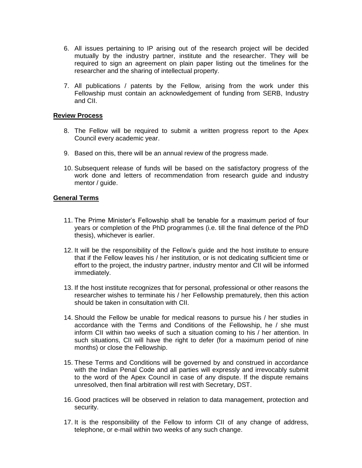- 6. All issues pertaining to IP arising out of the research project will be decided mutually by the industry partner, institute and the researcher. They will be required to sign an agreement on plain paper listing out the timelines for the researcher and the sharing of intellectual property.
- 7. All publications / patents by the Fellow, arising from the work under this Fellowship must contain an acknowledgement of funding from SERB, Industry and CII.

#### **Review Process**

- 8. The Fellow will be required to submit a written progress report to the Apex Council every academic year.
- 9. Based on this, there will be an annual review of the progress made.
- 10. Subsequent release of funds will be based on the satisfactory progress of the work done and letters of recommendation from research guide and industry mentor / guide.

### **General Terms**

- 11. The Prime Minister's Fellowship shall be tenable for a maximum period of four years or completion of the PhD programmes (i.e. till the final defence of the PhD thesis), whichever is earlier.
- 12. It will be the responsibility of the Fellow's guide and the host institute to ensure that if the Fellow leaves his / her institution, or is not dedicating sufficient time or effort to the project, the industry partner, industry mentor and CII will be informed immediately.
- 13. If the host institute recognizes that for personal, professional or other reasons the researcher wishes to terminate his / her Fellowship prematurely, then this action should be taken in consultation with CII.
- 14. Should the Fellow be unable for medical reasons to pursue his / her studies in accordance with the Terms and Conditions of the Fellowship, he / she must inform CII within two weeks of such a situation coming to his / her attention. In such situations, CII will have the right to defer (for a maximum period of nine months) or close the Fellowship.
- 15. These Terms and Conditions will be governed by and construed in accordance with the Indian Penal Code and all parties will expressly and irrevocably submit to the word of the Apex Council in case of any dispute. If the dispute remains unresolved, then final arbitration will rest with Secretary, DST.
- 16. Good practices will be observed in relation to data management, protection and security.
- 17. It is the responsibility of the Fellow to inform CII of any change of address, telephone, or e-mail within two weeks of any such change.